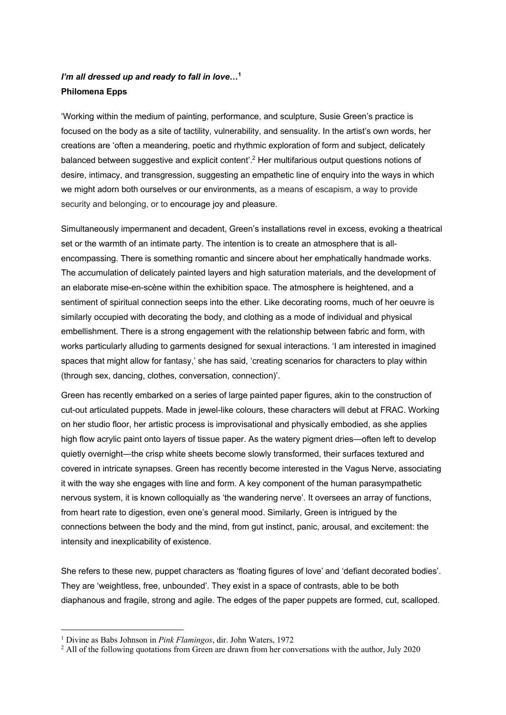## *I'm all dressed up and ready to fall in love…***<sup>1</sup> Philomena Epps**

'Working within the medium of painting, performance, and sculpture, Susie Green's practice is focused on the body as a site of tactility, vulnerability, and sensuality. In the artist's own words, her creations are 'often a meandering, poetic and rhythmic exploration of form and subject, delicately balanced between suggestive and explicit content'.2 Her multifarious output questions notions of desire, intimacy, and transgression, suggesting an empathetic line of enquiry into the ways in which we might adorn both ourselves or our environments, as a means of escapism, a way to provide security and belonging, or to encourage joy and pleasure.

Simultaneously impermanent and decadent, Green's installations revel in excess, evoking a theatrical set or the warmth of an intimate party. The intention is to create an atmosphere that is allencompassing. There is something romantic and sincere about her emphatically handmade works. The accumulation of delicately painted layers and high saturation materials, and the development of an elaborate mise-en-scène within the exhibition space. The atmosphere is heightened, and a sentiment of spiritual connection seeps into the ether. Like decorating rooms, much of her oeuvre is similarly occupied with decorating the body, and clothing as a mode of individual and physical embellishment. There is a strong engagement with the relationship between fabric and form, with works particularly alluding to garments designed for sexual interactions. 'I am interested in imagined spaces that might allow for fantasy,' she has said, 'creating scenarios for characters to play within (through sex, dancing, clothes, conversation, connection)'.

Green has recently embarked on a series of large painted paper figures, akin to the construction of cut-out articulated puppets. Made in jewel-like colours, these characters will debut at FRAC. Working on her studio floor, her artistic process is improvisational and physically embodied, as she applies high flow acrylic paint onto layers of tissue paper. As the watery pigment dries—often left to develop quietly overnight—the crisp white sheets become slowly transformed, their surfaces textured and covered in intricate synapses. Green has recently become interested in the Vagus Nerve, associating it with the way she engages with line and form. A key component of the human parasympathetic nervous system, it is known colloquially as 'the wandering nerve'. It oversees an array of functions, from heart rate to digestion, even one's general mood. Similarly, Green is intrigued by the connections between the body and the mind, from gut instinct, panic, arousal, and excitement: the intensity and inexplicability of existence.

She refers to these new, puppet characters as 'floating figures of love' and 'defiant decorated bodies'. They are 'weightless, free, unbounded'. They exist in a space of contrasts, able to be both diaphanous and fragile, strong and agile. The edges of the paper puppets are formed, cut, scalloped.

<sup>1</sup> Divine as Babs Johnson in *Pink Flamingos*, dir. John Waters, 1972

 $<sup>2</sup>$  All of the following quotations from Green are drawn from her conversations with the author, July 2020</sup>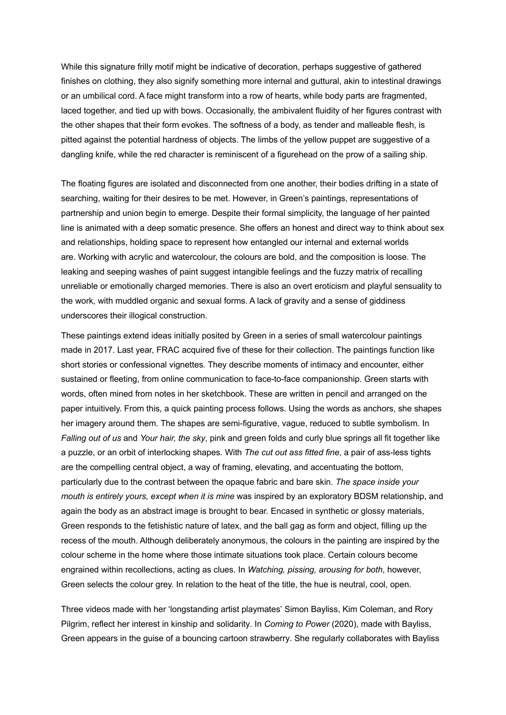While this signature frilly motif might be indicative of decoration, perhaps suggestive of gathered finishes on clothing, they also signify something more internal and guttural, akin to intestinal drawings or an umbilical cord. A face might transform into a row of hearts, while body parts are fragmented, laced together, and tied up with bows. Occasionally, the ambivalent fluidity of her figures contrast with the other shapes that their form evokes. The softness of a body, as tender and malleable flesh, is pitted against the potential hardness of objects. The limbs of the yellow puppet are suggestive of a dangling knife, while the red character is reminiscent of a figurehead on the prow of a sailing ship.

The floating figures are isolated and disconnected from one another, their bodies drifting in a state of searching, waiting for their desires to be met. However, in Green's paintings, representations of partnership and union begin to emerge. Despite their formal simplicity, the language of her painted line is animated with a deep somatic presence. She offers an honest and direct way to think about sex and relationships, holding space to represent how entangled our internal and external worlds are. Working with acrylic and watercolour, the colours are bold, and the composition is loose. The leaking and seeping washes of paint suggest intangible feelings and the fuzzy matrix of recalling unreliable or emotionally charged memories. There is also an overt eroticism and playful sensuality to the work, with muddled organic and sexual forms. A lack of gravity and a sense of giddiness underscores their illogical construction.

These paintings extend ideas initially posited by Green in a series of small watercolour paintings made in 2017. Last year, FRAC acquired five of these for their collection. The paintings function like short stories or confessional vignettes. They describe moments of intimacy and encounter, either sustained or fleeting, from online communication to face-to-face companionship. Green starts with words, often mined from notes in her sketchbook. These are written in pencil and arranged on the paper intuitively. From this, a quick painting process follows. Using the words as anchors, she shapes her imagery around them. The shapes are semi-figurative, vague, reduced to subtle symbolism. In *Falling out of us* and *Your hair, the sky*, pink and green folds and curly blue springs all fit together like a puzzle, or an orbit of interlocking shapes*.* With *The cut out ass fitted fine*, a pair of ass-less tights are the compelling central object, a way of framing, elevating, and accentuating the bottom, particularly due to the contrast between the opaque fabric and bare skin. *The space inside your mouth is entirely yours, except when it is mine* was inspired by an exploratory BDSM relationship, and again the body as an abstract image is brought to bear. Encased in synthetic or glossy materials, Green responds to the fetishistic nature of latex, and the ball gag as form and object, filling up the recess of the mouth. Although deliberately anonymous, the colours in the painting are inspired by the colour scheme in the home where those intimate situations took place. Certain colours become engrained within recollections, acting as clues. In *Watching, pissing, arousing for both*, however, Green selects the colour grey. In relation to the heat of the title, the hue is neutral, cool, open.

Three videos made with her 'longstanding artist playmates' Simon Bayliss, Kim Coleman, and Rory Pilgrim, reflect her interest in kinship and solidarity. In *Coming to Power* (2020), made with Bayliss, Green appears in the guise of a bouncing cartoon strawberry. She regularly collaborates with Bayliss